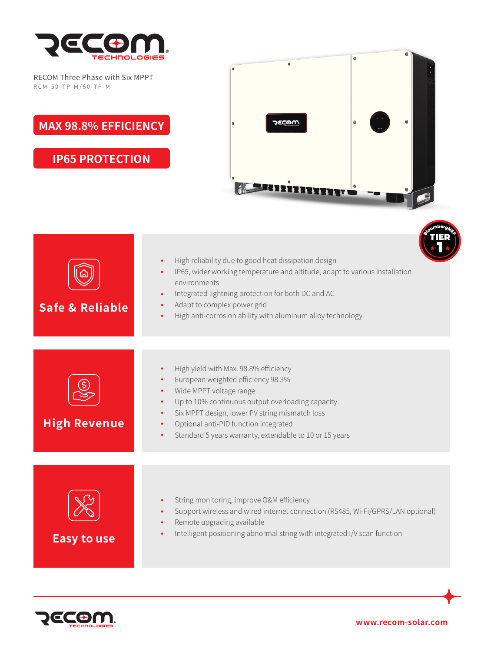

RECOM Three Phase with Six MPPT RCM-50 -TP-M /60-TP-M

**MAX 98.8% EFFICIENCY**

**IP65 PROTECTION**







**www.recom-solar.com**